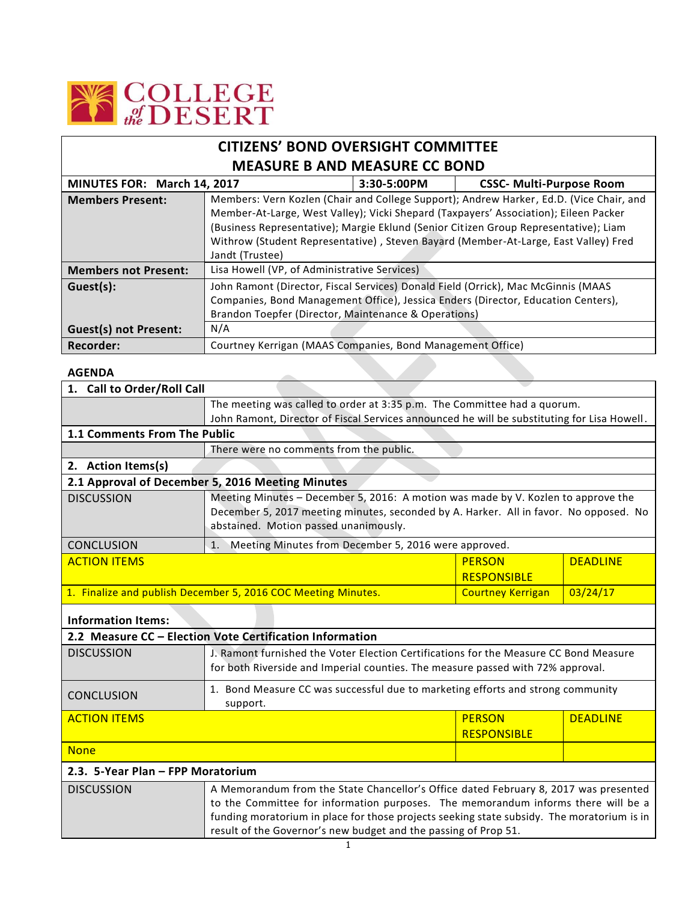

| <b>CITIZENS' BOND OVERSIGHT COMMITTEE</b> |                                                            |               |                                                                                                                                                                                                                                                                                                                                                                |
|-------------------------------------------|------------------------------------------------------------|---------------|----------------------------------------------------------------------------------------------------------------------------------------------------------------------------------------------------------------------------------------------------------------------------------------------------------------------------------------------------------------|
| <b>MEASURE B AND MEASURE CC BOND</b>      |                                                            |               |                                                                                                                                                                                                                                                                                                                                                                |
| MINUTES FOR: March 14, 2017               |                                                            | $3:30-5:00PM$ | <b>CSSC- Multi-Purpose Room</b>                                                                                                                                                                                                                                                                                                                                |
| <b>Members Present:</b>                   | Jandt (Trustee)                                            |               | Members: Vern Kozlen (Chair and College Support); Andrew Harker, Ed.D. (Vice Chair, and<br>Member-At-Large, West Valley); Vicki Shepard (Taxpayers' Association); Eileen Packer<br>(Business Representative); Margie Eklund (Senior Citizen Group Representative); Liam<br>Withrow (Student Representative), Steven Bayard (Member-At-Large, East Valley) Fred |
| <b>Members not Present:</b>               | Lisa Howell (VP, of Administrative Services)               |               |                                                                                                                                                                                                                                                                                                                                                                |
| Guest(s):                                 | Brandon Toepfer (Director, Maintenance & Operations)       |               | John Ramont (Director, Fiscal Services) Donald Field (Orrick), Mac McGinnis (MAAS<br>Companies, Bond Management Office), Jessica Enders (Director, Education Centers),                                                                                                                                                                                         |
| <b>Guest(s) not Present:</b>              | N/A                                                        |               |                                                                                                                                                                                                                                                                                                                                                                |
| Recorder:                                 | Courtney Kerrigan (MAAS Companies, Bond Management Office) |               |                                                                                                                                                                                                                                                                                                                                                                |

## **AGENDA**

Ē

| 1. Call to Order/Roll Call                                                                                                                                                                                                                                                                   |                                                                                                                                                                                                                     |                          |                 |
|----------------------------------------------------------------------------------------------------------------------------------------------------------------------------------------------------------------------------------------------------------------------------------------------|---------------------------------------------------------------------------------------------------------------------------------------------------------------------------------------------------------------------|--------------------------|-----------------|
|                                                                                                                                                                                                                                                                                              | The meeting was called to order at 3:35 p.m. The Committee had a quorum.                                                                                                                                            |                          |                 |
|                                                                                                                                                                                                                                                                                              | John Ramont, Director of Fiscal Services announced he will be substituting for Lisa Howell.                                                                                                                         |                          |                 |
| 1.1 Comments From The Public                                                                                                                                                                                                                                                                 |                                                                                                                                                                                                                     |                          |                 |
|                                                                                                                                                                                                                                                                                              | There were no comments from the public.                                                                                                                                                                             |                          |                 |
| 2. Action Items(s)                                                                                                                                                                                                                                                                           |                                                                                                                                                                                                                     |                          |                 |
|                                                                                                                                                                                                                                                                                              | 2.1 Approval of December 5, 2016 Meeting Minutes                                                                                                                                                                    |                          |                 |
| <b>DISCUSSION</b>                                                                                                                                                                                                                                                                            | Meeting Minutes - December 5, 2016: A motion was made by V. Kozlen to approve the<br>December 5, 2017 meeting minutes, seconded by A. Harker. All in favor. No opposed. No<br>abstained. Motion passed unanimously. |                          |                 |
| <b>CONCLUSION</b>                                                                                                                                                                                                                                                                            | Meeting Minutes from December 5, 2016 were approved.<br>1.                                                                                                                                                          |                          |                 |
| <b>ACTION ITEMS</b>                                                                                                                                                                                                                                                                          |                                                                                                                                                                                                                     | <b>PERSON</b>            | <b>DEADLINE</b> |
|                                                                                                                                                                                                                                                                                              |                                                                                                                                                                                                                     | <b>RESPONSIBLE</b>       |                 |
| 1. Finalize and publish December 5, 2016 COC Meeting Minutes.                                                                                                                                                                                                                                |                                                                                                                                                                                                                     | <b>Courtney Kerrigan</b> | 03/24/17        |
| <b>Information Items:</b>                                                                                                                                                                                                                                                                    |                                                                                                                                                                                                                     |                          |                 |
|                                                                                                                                                                                                                                                                                              | 2.2 Measure CC - Election Vote Certification Information                                                                                                                                                            |                          |                 |
| <b>DISCUSSION</b>                                                                                                                                                                                                                                                                            | J. Ramont furnished the Voter Election Certifications for the Measure CC Bond Measure                                                                                                                               |                          |                 |
|                                                                                                                                                                                                                                                                                              | for both Riverside and Imperial counties. The measure passed with 72% approval.                                                                                                                                     |                          |                 |
| <b>CONCLUSION</b>                                                                                                                                                                                                                                                                            | 1. Bond Measure CC was successful due to marketing efforts and strong community<br>support.                                                                                                                         |                          |                 |
| <b>ACTION ITEMS</b>                                                                                                                                                                                                                                                                          |                                                                                                                                                                                                                     | <b>PERSON</b>            | <b>DEADLINE</b> |
|                                                                                                                                                                                                                                                                                              |                                                                                                                                                                                                                     | <b>RESPONSIBLE</b>       |                 |
| <b>None</b>                                                                                                                                                                                                                                                                                  |                                                                                                                                                                                                                     |                          |                 |
| 2.3. 5-Year Plan - FPP Moratorium                                                                                                                                                                                                                                                            |                                                                                                                                                                                                                     |                          |                 |
| A Memorandum from the State Chancellor's Office dated February 8, 2017 was presented<br><b>DISCUSSION</b><br>to the Committee for information purposes. The memorandum informs there will be a<br>funding moratorium in place for those projects seeking state subsidy. The moratorium is in |                                                                                                                                                                                                                     |                          |                 |
|                                                                                                                                                                                                                                                                                              |                                                                                                                                                                                                                     |                          |                 |
|                                                                                                                                                                                                                                                                                              |                                                                                                                                                                                                                     |                          |                 |

result of the Governor's new budget and the passing of Prop 51.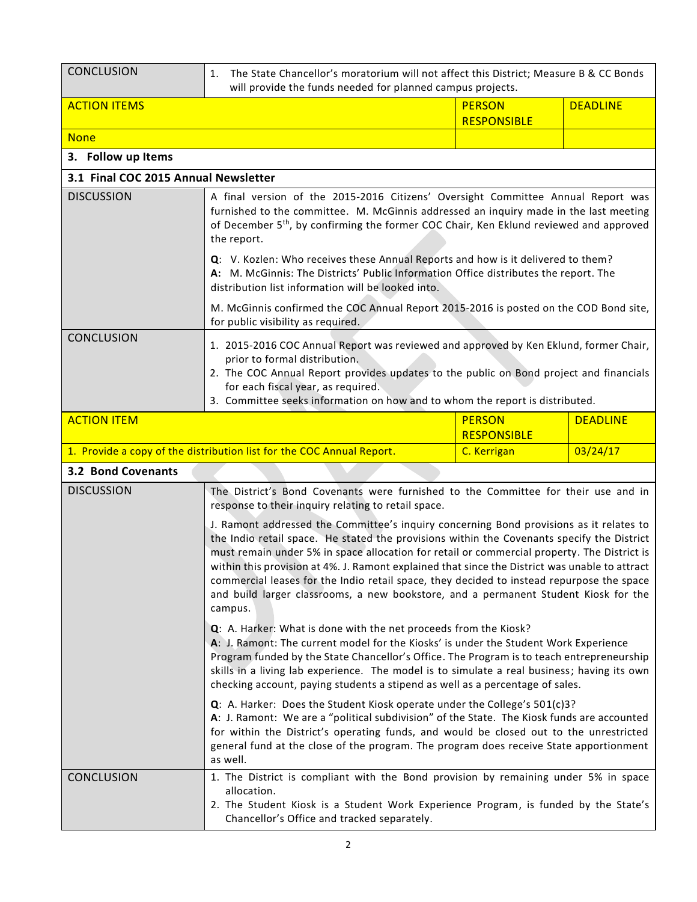| <b>CONCLUSION</b>                    | The State Chancellor's moratorium will not affect this District; Measure B & CC Bonds<br>1.<br>will provide the funds needed for planned campus projects.                                                                                                                                                                                                                                                                                                                                                                                                                             |                                     |                 |
|--------------------------------------|---------------------------------------------------------------------------------------------------------------------------------------------------------------------------------------------------------------------------------------------------------------------------------------------------------------------------------------------------------------------------------------------------------------------------------------------------------------------------------------------------------------------------------------------------------------------------------------|-------------------------------------|-----------------|
| <b>ACTION ITEMS</b>                  |                                                                                                                                                                                                                                                                                                                                                                                                                                                                                                                                                                                       | <b>PERSON</b><br><b>RESPONSIBLE</b> | <b>DEADLINE</b> |
| <b>None</b>                          |                                                                                                                                                                                                                                                                                                                                                                                                                                                                                                                                                                                       |                                     |                 |
| 3. Follow up Items                   |                                                                                                                                                                                                                                                                                                                                                                                                                                                                                                                                                                                       |                                     |                 |
| 3.1 Final COC 2015 Annual Newsletter |                                                                                                                                                                                                                                                                                                                                                                                                                                                                                                                                                                                       |                                     |                 |
| <b>DISCUSSION</b>                    | A final version of the 2015-2016 Citizens' Oversight Committee Annual Report was<br>furnished to the committee. M. McGinnis addressed an inquiry made in the last meeting<br>of December 5 <sup>th</sup> , by confirming the former COC Chair, Ken Eklund reviewed and approved<br>the report.                                                                                                                                                                                                                                                                                        |                                     |                 |
|                                      | Q: V. Kozlen: Who receives these Annual Reports and how is it delivered to them?<br>A: M. McGinnis: The Districts' Public Information Office distributes the report. The<br>distribution list information will be looked into.                                                                                                                                                                                                                                                                                                                                                        |                                     |                 |
|                                      | M. McGinnis confirmed the COC Annual Report 2015-2016 is posted on the COD Bond site,<br>for public visibility as required.                                                                                                                                                                                                                                                                                                                                                                                                                                                           |                                     |                 |
| <b>CONCLUSION</b>                    | 1. 2015-2016 COC Annual Report was reviewed and approved by Ken Eklund, former Chair,<br>prior to formal distribution.<br>2. The COC Annual Report provides updates to the public on Bond project and financials<br>for each fiscal year, as required.<br>3. Committee seeks information on how and to whom the report is distributed.                                                                                                                                                                                                                                                |                                     |                 |
| <b>ACTION ITEM</b>                   |                                                                                                                                                                                                                                                                                                                                                                                                                                                                                                                                                                                       | <b>PERSON</b>                       | <b>DEADLINE</b> |
|                                      | 1. Provide a copy of the distribution list for the COC Annual Report.                                                                                                                                                                                                                                                                                                                                                                                                                                                                                                                 | <b>RESPONSIBLE</b><br>C. Kerrigan   | 03/24/17        |
| <b>3.2 Bond Covenants</b>            |                                                                                                                                                                                                                                                                                                                                                                                                                                                                                                                                                                                       |                                     |                 |
| <b>DISCUSSION</b>                    | The District's Bond Covenants were furnished to the Committee for their use and in<br>response to their inquiry relating to retail space.                                                                                                                                                                                                                                                                                                                                                                                                                                             |                                     |                 |
|                                      | J. Ramont addressed the Committee's inquiry concerning Bond provisions as it relates to<br>the Indio retail space. He stated the provisions within the Covenants specify the District<br>must remain under 5% in space allocation for retail or commercial property. The District is<br>within this provision at 4%. J. Ramont explained that since the District was unable to attract<br>commercial leases for the Indio retail space, they decided to instead repurpose the space<br>and build larger classrooms, a new bookstore, and a permanent Student Kiosk for the<br>campus. |                                     |                 |
|                                      | Q: A. Harker: What is done with the net proceeds from the Kiosk?<br>A: J. Ramont: The current model for the Kiosks' is under the Student Work Experience<br>Program funded by the State Chancellor's Office. The Program is to teach entrepreneurship<br>skills in a living lab experience. The model is to simulate a real business; having its own<br>checking account, paying students a stipend as well as a percentage of sales.                                                                                                                                                 |                                     |                 |
|                                      | $Q$ : A. Harker: Does the Student Kiosk operate under the College's $501(c)3$ ?<br>A: J. Ramont: We are a "political subdivision" of the State. The Kiosk funds are accounted<br>for within the District's operating funds, and would be closed out to the unrestricted<br>general fund at the close of the program. The program does receive State apportionment<br>as well.                                                                                                                                                                                                         |                                     |                 |
| <b>CONCLUSION</b>                    | 1. The District is compliant with the Bond provision by remaining under 5% in space<br>allocation.<br>2. The Student Kiosk is a Student Work Experience Program, is funded by the State's                                                                                                                                                                                                                                                                                                                                                                                             |                                     |                 |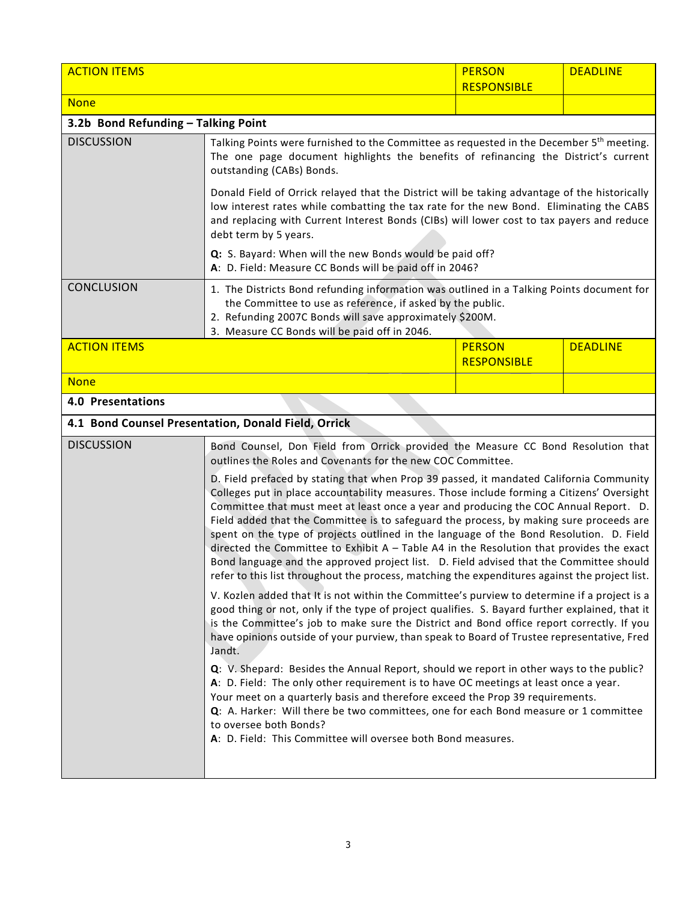| <b>ACTION ITEMS</b>                 |                                                                                                                                                                                                                                                                                                                                                                                                                                                                                                                                                                                                                                                                                                                                                                                                                                                                                                                                                             | <b>PERSON</b><br><b>RESPONSIBLE</b> | <b>DEADLINE</b> |
|-------------------------------------|-------------------------------------------------------------------------------------------------------------------------------------------------------------------------------------------------------------------------------------------------------------------------------------------------------------------------------------------------------------------------------------------------------------------------------------------------------------------------------------------------------------------------------------------------------------------------------------------------------------------------------------------------------------------------------------------------------------------------------------------------------------------------------------------------------------------------------------------------------------------------------------------------------------------------------------------------------------|-------------------------------------|-----------------|
| <b>None</b>                         |                                                                                                                                                                                                                                                                                                                                                                                                                                                                                                                                                                                                                                                                                                                                                                                                                                                                                                                                                             |                                     |                 |
| 3.2b Bond Refunding - Talking Point |                                                                                                                                                                                                                                                                                                                                                                                                                                                                                                                                                                                                                                                                                                                                                                                                                                                                                                                                                             |                                     |                 |
| <b>DISCUSSION</b>                   | Talking Points were furnished to the Committee as requested in the December 5 <sup>th</sup> meeting.<br>The one page document highlights the benefits of refinancing the District's current<br>outstanding (CABs) Bonds.                                                                                                                                                                                                                                                                                                                                                                                                                                                                                                                                                                                                                                                                                                                                    |                                     |                 |
|                                     | Donald Field of Orrick relayed that the District will be taking advantage of the historically<br>low interest rates while combatting the tax rate for the new Bond. Eliminating the CABS<br>and replacing with Current Interest Bonds (CIBs) will lower cost to tax payers and reduce<br>debt term by 5 years.                                                                                                                                                                                                                                                                                                                                                                                                                                                                                                                                                                                                                                              |                                     |                 |
|                                     | Q: S. Bayard: When will the new Bonds would be paid off?<br>A: D. Field: Measure CC Bonds will be paid off in 2046?                                                                                                                                                                                                                                                                                                                                                                                                                                                                                                                                                                                                                                                                                                                                                                                                                                         |                                     |                 |
| <b>CONCLUSION</b>                   | 1. The Districts Bond refunding information was outlined in a Talking Points document for<br>the Committee to use as reference, if asked by the public.<br>2. Refunding 2007C Bonds will save approximately \$200M.<br>3. Measure CC Bonds will be paid off in 2046.                                                                                                                                                                                                                                                                                                                                                                                                                                                                                                                                                                                                                                                                                        |                                     |                 |
| <b>ACTION ITEMS</b>                 |                                                                                                                                                                                                                                                                                                                                                                                                                                                                                                                                                                                                                                                                                                                                                                                                                                                                                                                                                             | <b>PERSON</b><br><b>RESPONSIBLE</b> | <b>DEADLINE</b> |
| <b>None</b>                         |                                                                                                                                                                                                                                                                                                                                                                                                                                                                                                                                                                                                                                                                                                                                                                                                                                                                                                                                                             |                                     |                 |
| <b>4.0 Presentations</b>            |                                                                                                                                                                                                                                                                                                                                                                                                                                                                                                                                                                                                                                                                                                                                                                                                                                                                                                                                                             |                                     |                 |
|                                     | 4.1 Bond Counsel Presentation, Donald Field, Orrick                                                                                                                                                                                                                                                                                                                                                                                                                                                                                                                                                                                                                                                                                                                                                                                                                                                                                                         |                                     |                 |
| <b>DISCUSSION</b>                   | Bond Counsel, Don Field from Orrick provided the Measure CC Bond Resolution that<br>outlines the Roles and Covenants for the new COC Committee.<br>D. Field prefaced by stating that when Prop 39 passed, it mandated California Community<br>Colleges put in place accountability measures. Those include forming a Citizens' Oversight<br>Committee that must meet at least once a year and producing the COC Annual Report. D.<br>Field added that the Committee is to safeguard the process, by making sure proceeds are<br>spent on the type of projects outlined in the language of the Bond Resolution. D. Field<br>directed the Committee to Exhibit $A - Table A4$ in the Resolution that provides the exact<br>Bond language and the approved project list. D. Field advised that the Committee should                                                                                                                                            |                                     |                 |
|                                     | refer to this list throughout the process, matching the expenditures against the project list.<br>V. Kozlen added that It is not within the Committee's purview to determine if a project is a<br>good thing or not, only if the type of project qualifies. S. Bayard further explained, that it<br>is the Committee's job to make sure the District and Bond office report correctly. If you<br>have opinions outside of your purview, than speak to Board of Trustee representative, Fred<br>Jandt.<br>Q: V. Shepard: Besides the Annual Report, should we report in other ways to the public?<br>A: D. Field: The only other requirement is to have OC meetings at least once a year.<br>Your meet on a quarterly basis and therefore exceed the Prop 39 requirements.<br>Q: A. Harker: Will there be two committees, one for each Bond measure or 1 committee<br>to oversee both Bonds?<br>A: D. Field: This Committee will oversee both Bond measures. |                                     |                 |